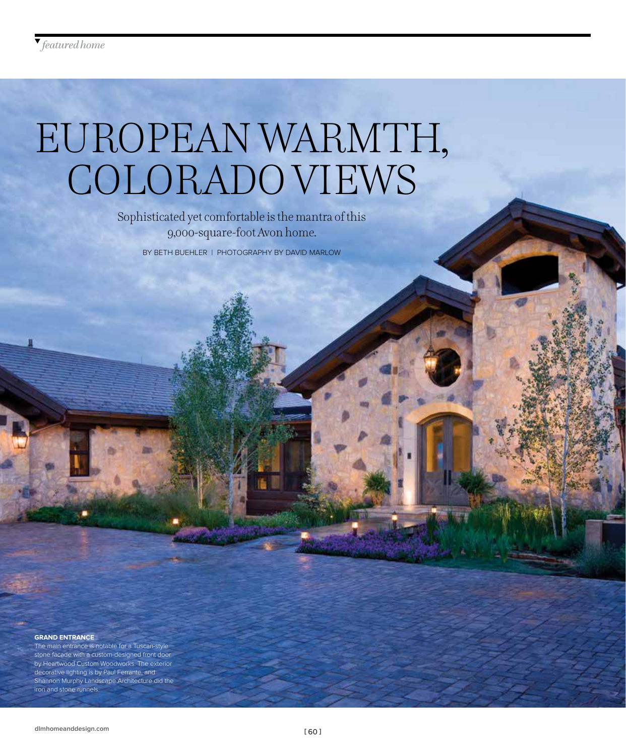# EUROPEAN WARMTH, COLORADO VIEWS

Sophisticated yet comfortable is the mantra of this 9,000-square-foot Avon home.

BY BETH BUEHLER | PHOTOGRAPHY BY DAVID MARLOW

#### **GRAND ENTRANCE**

The main entrance is notable for a Tuscan-style stone facade with a custom-designed front door by Heartwood Custom Woodworks. The exterior decorative lighting is by Paul Ferrante, and Shannon Murphy Landscape Architecture did the iron and stone runnels.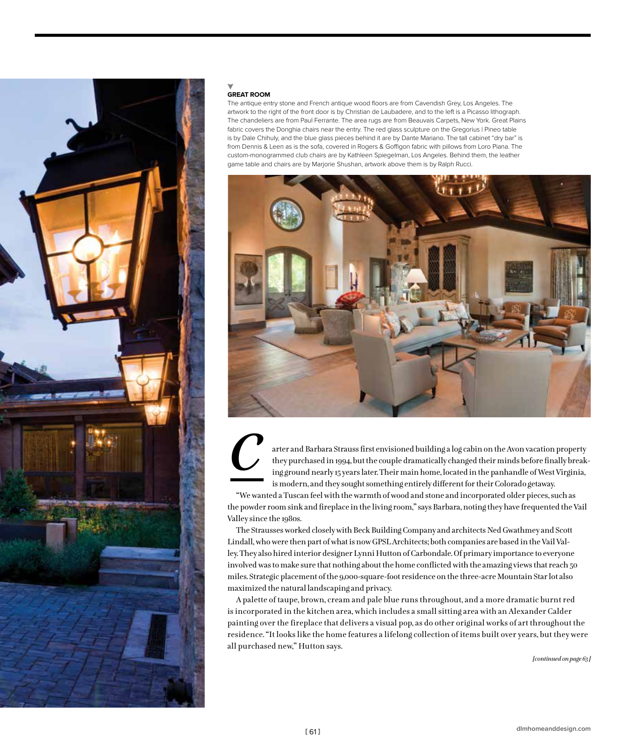

## **GREAT ROOM**

The antique entry stone and French antique wood floors are from Cavendish Grey, Los Angeles. The artwork to the right of the front door is by Christian de Laubadere, and to the left is a Picasso lithograph. The chandeliers are from Paul Ferrante. The area rugs are from Beauvais Carpets, New York. Great Plains fabric covers the Donghia chairs near the entry. The red glass sculpture on the Gregorius I Pineo table is by Dale Chihuly, and the blue glass pieces behind it are by Dante Mariano. The tall cabinet "dry bar" is from Dennis & Leen as is the sofa, covered in Rogers & Goffigon fabric with pillows from Loro Piana. The custom-monogrammed club chairs are by Kathleen Spiegelman, Los Angeles. Behind them, the leather game table and chairs are by Marjorie Shushan, artwork above them is by Ralph Rucci.





arter and Barbara Strauss first envisioned building a log cabin on the Avon vacation property they purchased in 1994, but the couple dramatically changed their minds before finally breaking ground nearly 15 years later. Their main home, located in the panhandle of West Virginia, is modern, and they sought something entirely different for their Colorado getaway.

"We wanted a Tuscan feel with the warmth of wood and stone and incorporated older pieces, such as the powder room sink and fireplace in the living room," says Barbara, noting they have frequented the Vail Valley since the 1980s.

The Strausses worked closely with Beck Building Company and architects Ned Gwathmey and Scott Lindall, who were then part of what is now GPSL Architects; both companies are based in the Vail Valley. They also hired interior designer Lynni Hutton of Carbondale. Of primary importance to everyone involved was to make sure that nothing about the home conflicted with the amazing views that reach 50 miles. Strategic placement of the 9,000-square-foot residence on the three-acre Mountain Star lot also maximized the natural landscaping and privacy.

A palette of taupe, brown, cream and pale blue runs throughout, and a more dramatic burnt red is incorporated in the kitchen area, which includes a small sitting area with an Alexander Calder painting over the fireplace that delivers a visual pop, as do other original works of art throughout the residence. "It looks like the home features a lifelong collection of items built over years, but they were all purchased new," Hutton says.

*[continued on page 63 ]*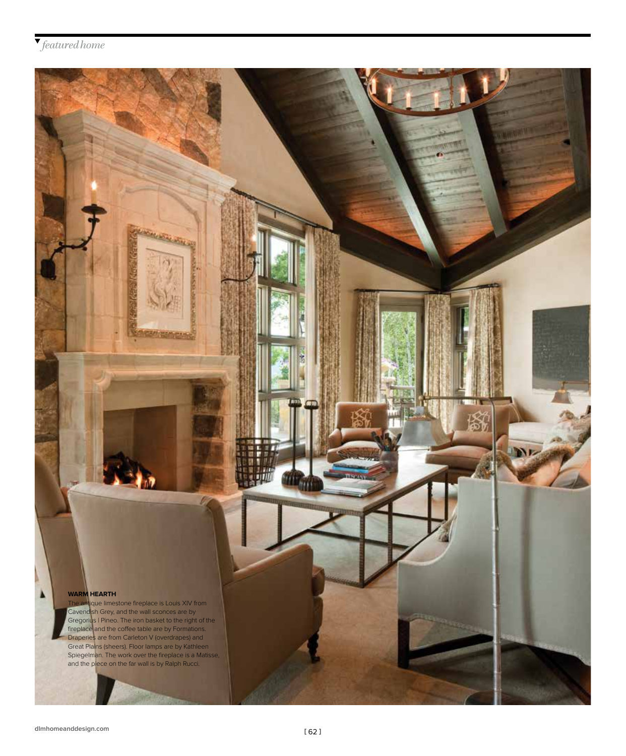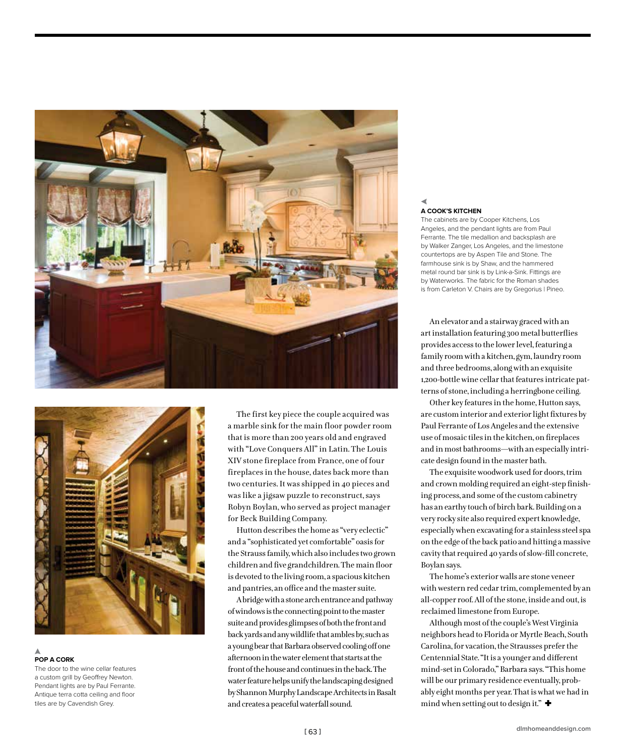



## **POP A CORK**

The door to the wine cellar features a custom grill by Geoffrey Newton. Pendant lights are by Paul Ferrante. Antique terra cotta ceiling and floor tiles are by Cavendish Grey.

The first key piece the couple acquired was a marble sink for the main floor powder room that is more than 200 years old and engraved with "Love Conquers All" in Latin. The Louis XIV stone fireplace from France, one of four fireplaces in the house, dates back more than two centuries. It was shipped in 40 pieces and was like a jigsaw puzzle to reconstruct, says Robyn Boylan, who served as project manager for Beck Building Company.

Hutton describes the home as "very eclectic" and a "sophisticated yet comfortable" oasis for the Strauss family, which also includes two grown children and five grandchildren. The main floor is devoted to the living room, a spacious kitchen and pantries, an office and the master suite.

A bridge with a stone arch entrance and pathway of windows is the connecting point to the master suite and provides glimpses of both the front and back yards and any wildlife that ambles by, such as a young bear that Barbara observed cooling off one afternoon in the water element that starts at the front of the house and continues in the back. The water feature helps unify the landscaping designed by Shannon Murphy Landscape Architects in Basalt and creates a peaceful waterfall sound.

# **A COOK'S KITCHEN**

The cabinets are by Cooper Kitchens, Los Angeles, and the pendant lights are from Paul Ferrante. The tile medallion and backsplash are by Walker Zanger, Los Angeles, and the limestone countertops are by Aspen Tile and Stone. The farmhouse sink is by Shaw, and the hammered metal round bar sink is by Link-a-Sink. Fittings are by Waterworks. The fabric for the Roman shades is from Carleton V. Chairs are by Gregorius | Pineo.

An elevator and a stairway graced with an art installation featuring 300 metal butterflies provides access to the lower level, featuring a family room with a kitchen, gym, laundry room and three bedrooms, along with an exquisite 1,200-bottle wine cellar that features intricate patterns of stone, including a herringbone ceiling.

Other key features in the home, Hutton says, are custom interior and exterior light fixtures by Paul Ferrante of Los Angeles and the extensive use of mosaic tiles in the kitchen, on fireplaces and in most bathrooms—with an especially intricate design found in the master bath.

The exquisite woodwork used for doors, trim and crown molding required an eight-step finishing process, and some of the custom cabinetry has an earthy touch of birch bark. Building on a very rocky site also required expert knowledge, especially when excavating for a stainless steel spa on the edge of the back patio and hitting a massive cavity that required 40 yards of slow-fill concrete, Boylan says.

The home's exterior walls are stone veneer with western red cedar trim, complemented by an all-copper roof. All of the stone, inside and out, is reclaimed limestone from Europe.

Although most of the couple's West Virginia neighbors head to Florida or Myrtle Beach, South Carolina, for vacation, the Strausses prefer the Centennial State. "It is a younger and different mind-set in Colorado," Barbara says. "This home will be our primary residence eventually, probably eight months per year. That is what we had in mind when setting out to design it."  $\blacklozenge$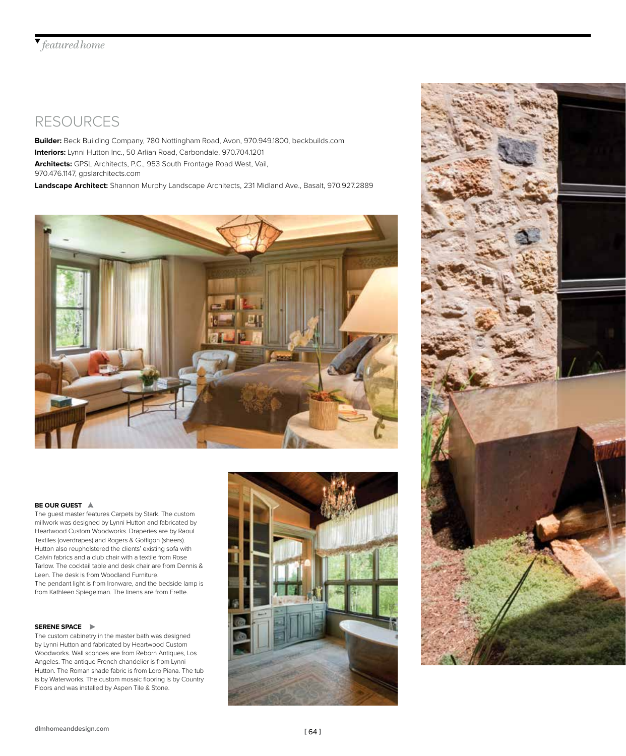## RESOURCES

**Builder:** Beck Building Company, 780 Nottingham Road, Avon, 970.949.1800, beckbuilds.com **Interiors:** Lynni Hutton Inc., 50 Arlian Road, Carbondale, 970.704.1201 **Architects:** GPSL Architects, P.C., 953 South Frontage Road West, Vail, 970.476.1147, gpslarchitects.com

**Landscape Architect:** Shannon Murphy Landscape Architects, 231 Midland Ave., Basalt, 970.927.2889



### **BE OUR GUEST**

The guest master features Carpets by Stark. The custom millwork was designed by Lynni Hutton and fabricated by Heartwood Custom Woodworks. Draperies are by Raoul Textiles (overdrapes) and Rogers & Goffigon (sheers). Hutton also reupholstered the clients' existing sofa with Calvin fabrics and a club chair with a textile from Rose Tarlow. The cocktail table and desk chair are from Dennis & Leen. The desk is from Woodland Furniture. The pendant light is from Ironware, and the bedside lamp is from Kathleen Spiegelman. The linens are from Frette.

#### **SERENE SPACE**

The custom cabinetry in the master bath was designed by Lynni Hutton and fabricated by Heartwood Custom Woodworks. Wall sconces are from Reborn Antiques, Los Angeles. The antique French chandelier is from Lynni Hutton. The Roman shade fabric is from Loro Piana. The tub is by Waterworks. The custom mosaic flooring is by Country Floors and was installed by Aspen Tile & Stone.